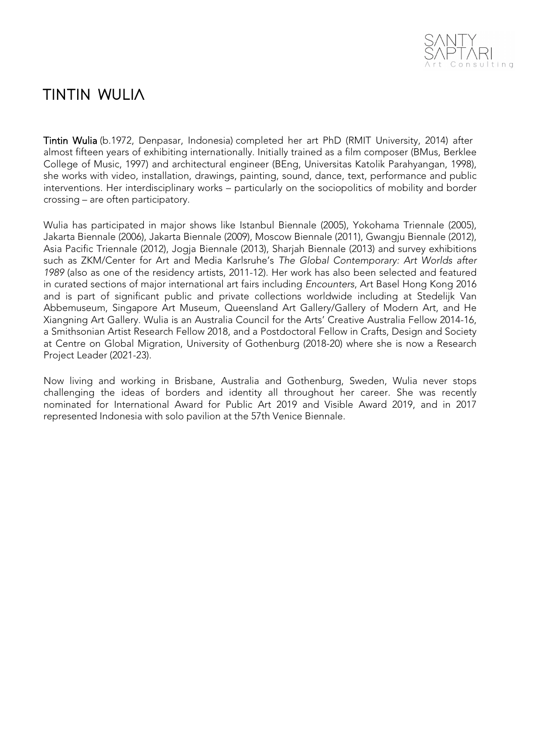

# **TINTIN WULIA**

Tintin Wulia (b.1972, Denpasar, Indonesia) completed her art PhD (RMIT University, 2014) after almost fifteen years of exhibiting internationally. Initially trained as a film composer (BMus, Berklee College of Music, 1997) and architectural engineer (BEng, Universitas Katolik Parahyangan, 1998), she works with video, installation, drawings, painting, sound, dance, text, performance and public interventions. Her interdisciplinary works – particularly on the sociopolitics of mobility and border crossing – are often participatory.

Wulia has participated in major shows like Istanbul Biennale (2005), Yokohama Triennale (2005), Jakarta Biennale (2006), Jakarta Biennale (2009), Moscow Biennale (2011), Gwangju Biennale (2012), Asia Pacific Triennale (2012), Jogja Biennale (2013), Sharjah Biennale (2013) and survey exhibitions such as ZKM/Center for Art and Media Karlsruhe's The Global Contemporary: Art Worlds after 1989 (also as one of the residency artists, 2011-12). Her work has also been selected and featured in curated sections of major international art fairs including Encounters, Art Basel Hong Kong 2016 and is part of significant public and private collections worldwide including at Stedelijk Van Abbemuseum, Singapore Art Museum, Queensland Art Gallery/Gallery of Modern Art, and He Xiangning Art Gallery. Wulia is an Australia Council for the Arts' Creative Australia Fellow 2014-16, a Smithsonian Artist Research Fellow 2018, and a Postdoctoral Fellow in Crafts, Design and Society at Centre on Global Migration, University of Gothenburg (2018-20) where she is now a Research Project Leader (2021-23).

Now living and working in Brisbane, Australia and Gothenburg, Sweden, Wulia never stops challenging the ideas of borders and identity all throughout her career. She was recently nominated for International Award for Public Art 2019 and Visible Award 2019, and in 2017 represented Indonesia with solo pavilion at the 57th Venice Biennale.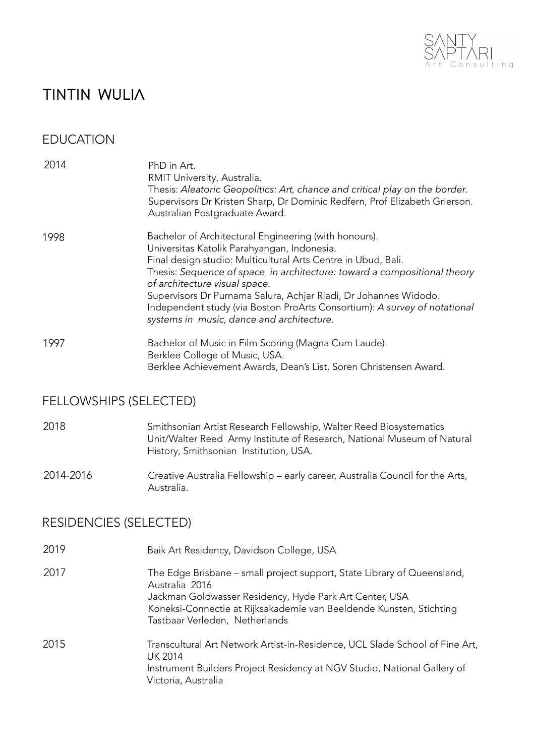

# **TINTIN WULIA**

## EDUCATION

| 2014 | PhD in Art.<br>RMIT University, Australia.<br>Thesis: Aleatoric Geopolitics: Art, chance and critical play on the border.<br>Supervisors Dr Kristen Sharp, Dr Dominic Redfern, Prof Elizabeth Grierson.<br>Australian Postgraduate Award. |
|------|-------------------------------------------------------------------------------------------------------------------------------------------------------------------------------------------------------------------------------------------|
| 1998 | Bachelor of Architectural Engineering (with honours).<br>Universitas Katolik Parahyangan, Indonesia.<br>Final design studio: Multicultural Arts Centre in Ubud, Bali.                                                                     |
|      | The star Common constant on the constitution of commonly a common statement than $\alpha$                                                                                                                                                 |

Thesis: *Sequence of space in architecture: toward a compositional theory of architecture visual space.* Supervisors Dr Purnama Salura, Achjar Riadi, Dr Johannes Widodo. Independent study (via Boston ProArts Consortium): *A survey of notational systems in music, dance and architecture.* 

1997 Bachelor of Music in Film Scoring (Magna Cum Laude). Berklee College of Music, USA. Berklee Achievement Awards, Dean's List, Soren Christensen Award.

## FELLOWSHIPS (SELECTED)

#### 2018 Smithsonian Artist Research Fellowship, Walter Reed Biosystematics Unit/Walter Reed Army Institute of Research, National Museum of Natural History, Smithsonian Institution, USA.

### 2014-2016 Creative Australia Fellowship – early career, Australia Council for the Arts, Australia.

## RESIDENCIES (SELECTED)

| 2019 | Baik Art Residency, Davidson College, USA                                                                                                                                                                                                                     |
|------|---------------------------------------------------------------------------------------------------------------------------------------------------------------------------------------------------------------------------------------------------------------|
| 2017 | The Edge Brisbane – small project support, State Library of Queensland,<br>Australia 2016<br>Jackman Goldwasser Residency, Hyde Park Art Center, USA<br>Koneksi-Connectie at Rijksakademie van Beeldende Kunsten, Stichting<br>Tastbaar Verleden, Netherlands |
| 2015 | Transcultural Art Network Artist-in-Residence, UCL Slade School of Fine Art,<br>UK 2014<br>Instrument Builders Project Residency at NGV Studio, National Gallery of<br>Victoria, Australia                                                                    |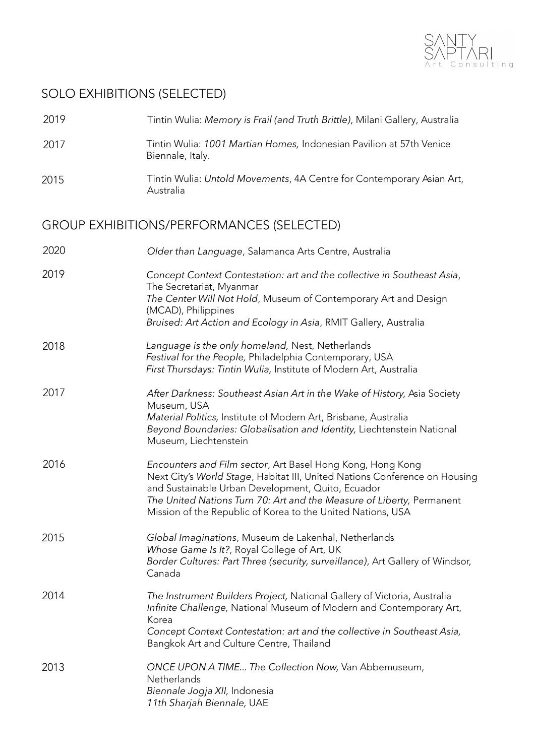

# SOLO EXHIBITIONS (SELECTED)

| 2019 | Tintin Wulia: Memory is Frail (and Truth Brittle), Milani Gallery, Australia                                                                                                                                                                                                                                                          |
|------|---------------------------------------------------------------------------------------------------------------------------------------------------------------------------------------------------------------------------------------------------------------------------------------------------------------------------------------|
| 2017 | Tintin Wulia: 1001 Martian Homes, Indonesian Pavilion at 57th Venice<br>Biennale, Italy.                                                                                                                                                                                                                                              |
| 2015 | Tintin Wulia: Untold Movements, 4A Centre for Contemporary Asian Art,<br>Australia                                                                                                                                                                                                                                                    |
|      | <b>GROUP EXHIBITIONS/PERFORMANCES (SELECTED)</b>                                                                                                                                                                                                                                                                                      |
| 2020 | Older than Language, Salamanca Arts Centre, Australia                                                                                                                                                                                                                                                                                 |
| 2019 | Concept Context Contestation: art and the collective in Southeast Asia,<br>The Secretariat, Myanmar<br>The Center Will Not Hold, Museum of Contemporary Art and Design<br>(MCAD), Philippines<br>Bruised: Art Action and Ecology in Asia, RMIT Gallery, Australia                                                                     |
| 2018 | Language is the only homeland, Nest, Netherlands<br>Festival for the People, Philadelphia Contemporary, USA<br>First Thursdays: Tintin Wulia, Institute of Modern Art, Australia                                                                                                                                                      |
| 2017 | After Darkness: Southeast Asian Art in the Wake of History, Asia Society<br>Museum, USA<br>Material Politics, Institute of Modern Art, Brisbane, Australia<br>Beyond Boundaries: Globalisation and Identity, Liechtenstein National<br>Museum, Liechtenstein                                                                          |
| 2016 | Encounters and Film sector, Art Basel Hong Kong, Hong Kong<br>Next City's World Stage, Habitat III, United Nations Conference on Housing<br>and Sustainable Urban Development, Quito, Ecuador<br>The United Nations Turn 70: Art and the Measure of Liberty, Permanent<br>Mission of the Republic of Korea to the United Nations, USA |
| 2015 | Global Imaginations, Museum de Lakenhal, Netherlands<br>Whose Game Is It?, Royal College of Art, UK<br>Border Cultures: Part Three (security, surveillance), Art Gallery of Windsor,<br>Canada                                                                                                                                        |
| 2014 | The Instrument Builders Project, National Gallery of Victoria, Australia<br>Infinite Challenge, National Museum of Modern and Contemporary Art,<br>Korea<br>Concept Context Contestation: art and the collective in Southeast Asia,<br>Bangkok Art and Culture Centre, Thailand                                                       |
| 2013 | ONCE UPON A TIME The Collection Now, Van Abbemuseum,<br>Netherlands<br>Biennale Jogja XII, Indonesia<br>11th Sharjah Biennale, UAE                                                                                                                                                                                                    |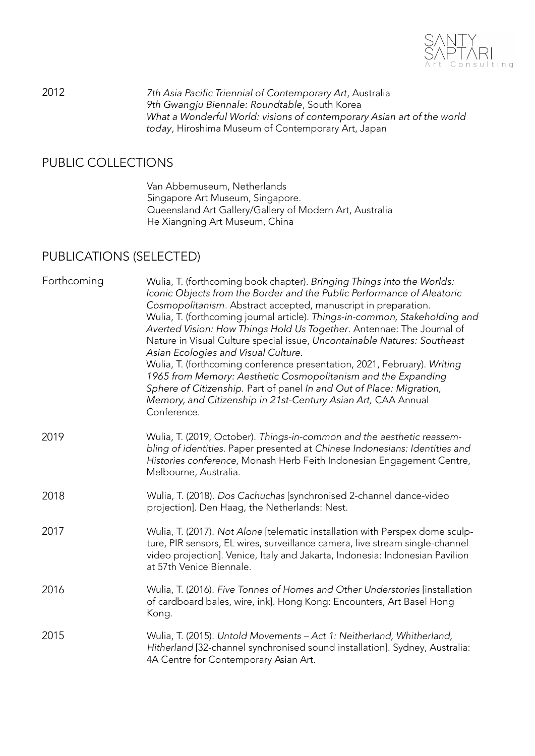

2012 *7th Asia Pacific Triennial of Contemporary Art*, Australia *9th Gwangju Biennale: Roundtable*, South Korea *What a Wonderful World: visions of contemporary Asian art of the world today*, Hiroshima Museum of Contemporary Art, Japan

## PUBLIC COLLECTIONS

Van Abbemuseum, Netherlands Singapore Art Museum, Singapore. Queensland Art Gallery/Gallery of Modern Art, Australia He Xiangning Art Museum, China

## PUBLICATIONS (SELECTED)

| Forthcoming | Wulia, T. (forthcoming book chapter). Bringing Things into the Worlds:<br>Iconic Objects from the Border and the Public Performance of Aleatoric<br>Cosmopolitanism. Abstract accepted, manuscript in preparation.<br>Wulia, T. (forthcoming journal article). Things-in-common, Stakeholding and<br>Averted Vision: How Things Hold Us Together. Antennae: The Journal of<br>Nature in Visual Culture special issue, Uncontainable Natures: Southeast<br>Asian Ecologies and Visual Culture.<br>Wulia, T. (forthcoming conference presentation, 2021, February). Writing<br>1965 from Memory: Aesthetic Cosmopolitanism and the Expanding<br>Sphere of Citizenship. Part of panel In and Out of Place: Migration,<br>Memory, and Citizenship in 21st-Century Asian Art, CAA Annual<br>Conference. |
|-------------|----------------------------------------------------------------------------------------------------------------------------------------------------------------------------------------------------------------------------------------------------------------------------------------------------------------------------------------------------------------------------------------------------------------------------------------------------------------------------------------------------------------------------------------------------------------------------------------------------------------------------------------------------------------------------------------------------------------------------------------------------------------------------------------------------|
| 2019        | Wulia, T. (2019, October). Things-in-common and the aesthetic reassem-<br>bling of identities. Paper presented at Chinese Indonesians: Identities and<br>Histories conference, Monash Herb Feith Indonesian Engagement Centre,<br>Melbourne, Australia.                                                                                                                                                                                                                                                                                                                                                                                                                                                                                                                                            |
| 2018        | Wulia, T. (2018). Dos Cachuchas [synchronised 2-channel dance-video<br>projection]. Den Haag, the Netherlands: Nest.                                                                                                                                                                                                                                                                                                                                                                                                                                                                                                                                                                                                                                                                               |
| 2017        | Wulia, T. (2017). Not Alone [telematic installation with Perspex dome sculp-<br>ture, PIR sensors, EL wires, surveillance camera, live stream single-channel<br>video projection]. Venice, Italy and Jakarta, Indonesia: Indonesian Pavilion<br>at 57th Venice Biennale.                                                                                                                                                                                                                                                                                                                                                                                                                                                                                                                           |
| 2016        | Wulia, T. (2016). Five Tonnes of Homes and Other Understories [installation<br>of cardboard bales, wire, ink]. Hong Kong: Encounters, Art Basel Hong<br>Kong.                                                                                                                                                                                                                                                                                                                                                                                                                                                                                                                                                                                                                                      |
| 2015        | Wulia, T. (2015). Untold Movements - Act 1: Neitherland, Whitherland,<br>Hitherland [32-channel synchronised sound installation]. Sydney, Australia:<br>4A Centre for Contemporary Asian Art.                                                                                                                                                                                                                                                                                                                                                                                                                                                                                                                                                                                                      |